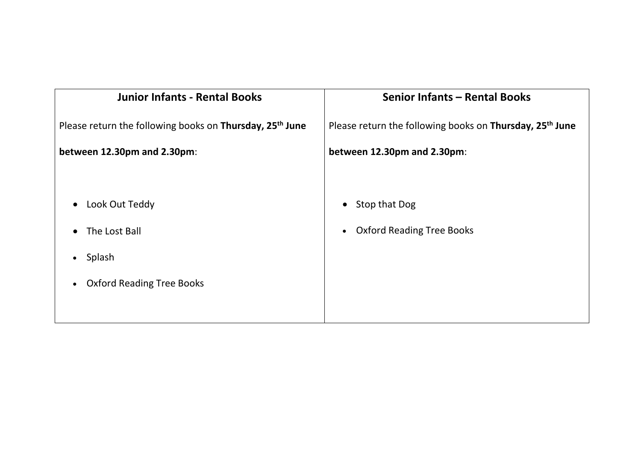| <b>Junior Infants - Rental Books</b>                                 | Senior Infants - Rental Books                                        |
|----------------------------------------------------------------------|----------------------------------------------------------------------|
| Please return the following books on Thursday, 25 <sup>th</sup> June | Please return the following books on Thursday, 25 <sup>th</sup> June |
| between 12.30pm and 2.30pm:                                          | between 12.30pm and 2.30pm:                                          |
|                                                                      |                                                                      |
| Look Out Teddy<br>$\bullet$                                          | Stop that Dog<br>$\bullet$                                           |
| The Lost Ball<br>$\bullet$                                           | • Oxford Reading Tree Books                                          |
| Splash<br>$\bullet$                                                  |                                                                      |
| <b>Oxford Reading Tree Books</b><br>$\bullet$                        |                                                                      |
|                                                                      |                                                                      |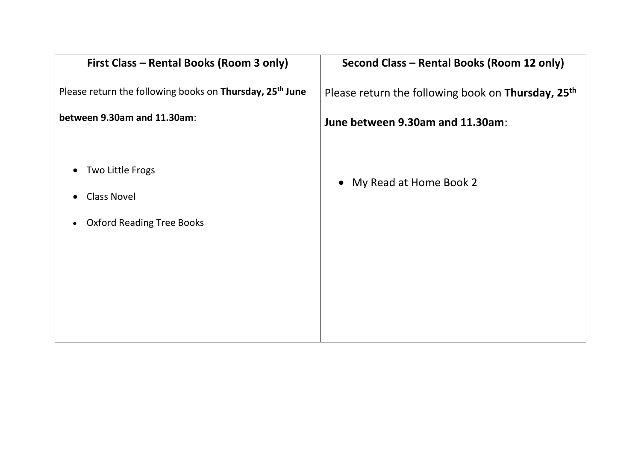| First Class - Rental Books (Room 3 only)                                                                          | Second Class - Rental Books (Room 12 only)                     |
|-------------------------------------------------------------------------------------------------------------------|----------------------------------------------------------------|
| Please return the following books on Thursday, 25 <sup>th</sup> June                                              | Please return the following book on Thursday, 25 <sup>th</sup> |
| between 9.30am and 11.30am:                                                                                       | June between 9.30am and 11.30am:                               |
| Two Little Frogs<br>$\bullet$<br><b>Class Novel</b><br>$\bullet$<br><b>Oxford Reading Tree Books</b><br>$\bullet$ | My Read at Home Book 2                                         |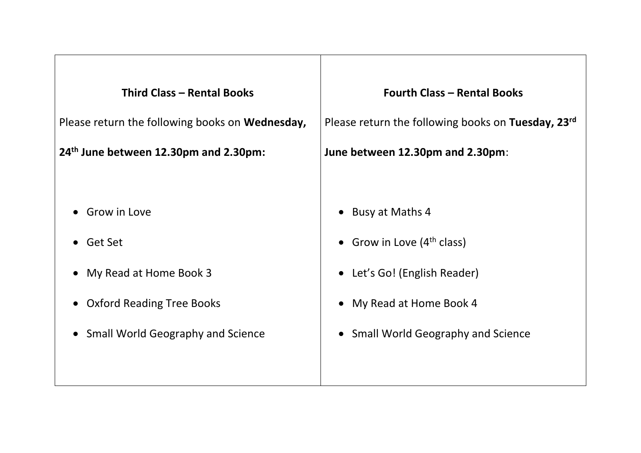| <b>Third Class - Rental Books</b>                 | <b>Fourth Class - Rental Books</b>                 |
|---------------------------------------------------|----------------------------------------------------|
| Please return the following books on Wednesday,   | Please return the following books on Tuesday, 23rd |
| 24 <sup>th</sup> June between 12.30pm and 2.30pm: | June between 12.30pm and 2.30pm:                   |
|                                                   |                                                    |
| Grow in Love                                      | Busy at Maths 4<br>$\bullet$                       |
| <b>Get Set</b><br>$\bullet$                       | • Grow in Love $(4th class)$                       |
| My Read at Home Book 3                            | • Let's Go! (English Reader)                       |
| • Oxford Reading Tree Books                       | My Read at Home Book 4<br>$\bullet$                |
| • Small World Geography and Science               | • Small World Geography and Science                |
|                                                   |                                                    |
|                                                   |                                                    |